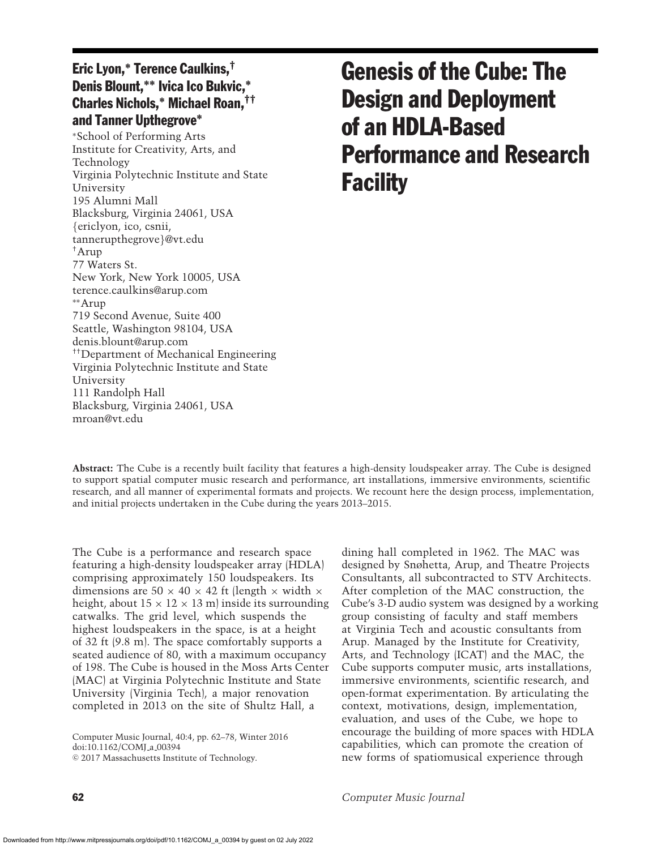## Eric Lyon,**<sup>∗</sup>** Terence Caulkins,† Denis Blount,**∗∗** Ivica Ico Bukvic,**∗** Charles Nichols,**<sup>∗</sup>** Michael Roan,†† and Tanner Upthegrove**∗**

<sup>∗</sup>School of Performing Arts Institute for Creativity, Arts, and Technology Virginia Polytechnic Institute and State University 195 Alumni Mall Blacksburg, Virginia 24061, USA {ericlyon, ico, csnii, tannerupthegrove}@vt.edu †Arup 77 Waters St. New York, New York 10005, USA terence.caulkins@arup.com ∗∗Arup 719 Second Avenue, Suite 400 Seattle, Washington 98104, USA denis.blount@arup.com ††Department of Mechanical Engineering Virginia Polytechnic Institute and State University 111 Randolph Hall Blacksburg, Virginia 24061, USA mroan@vt.edu

# Genesis of the Cube: The Design and Deployment of an HDLA-Based Performance and Research **Facility**

**Abstract:** The Cube is a recently built facility that features a high-density loudspeaker array. The Cube is designed to support spatial computer music research and performance, art installations, immersive environments, scientific research, and all manner of experimental formats and projects. We recount here the design process, implementation, and initial projects undertaken in the Cube during the years 2013–2015.

The Cube is a performance and research space featuring a high-density loudspeaker array (HDLA) comprising approximately 150 loudspeakers. Its dimensions are  $50 \times 40 \times 42$  ft (length  $\times$  width  $\times$ height, about  $15 \times 12 \times 13$  m) inside its surrounding catwalks. The grid level, which suspends the highest loudspeakers in the space, is at a height of 32 ft (9.8 m). The space comfortably supports a seated audience of 80, with a maximum occupancy of 198. The Cube is housed in the Moss Arts Center (MAC) at Virginia Polytechnic Institute and State University (Virginia Tech), a major renovation completed in 2013 on the site of Shultz Hall, a

Computer Music Journal, 40:4, pp. 62–78, Winter 2016 doi:10.1162/COMJ\_a\_00394

-c 2017 Massachusetts Institute of Technology.

dining hall completed in 1962. The MAC was designed by Snøhetta, Arup, and Theatre Projects Consultants, all subcontracted to STV Architects. After completion of the MAC construction, the Cube's 3-D audio system was designed by a working group consisting of faculty and staff members at Virginia Tech and acoustic consultants from Arup. Managed by the Institute for Creativity, Arts, and Technology (ICAT) and the MAC, the Cube supports computer music, arts installations, immersive environments, scientific research, and open-format experimentation. By articulating the context, motivations, design, implementation, evaluation, and uses of the Cube, we hope to encourage the building of more spaces with HDLA capabilities, which can promote the creation of new forms of spatiomusical experience through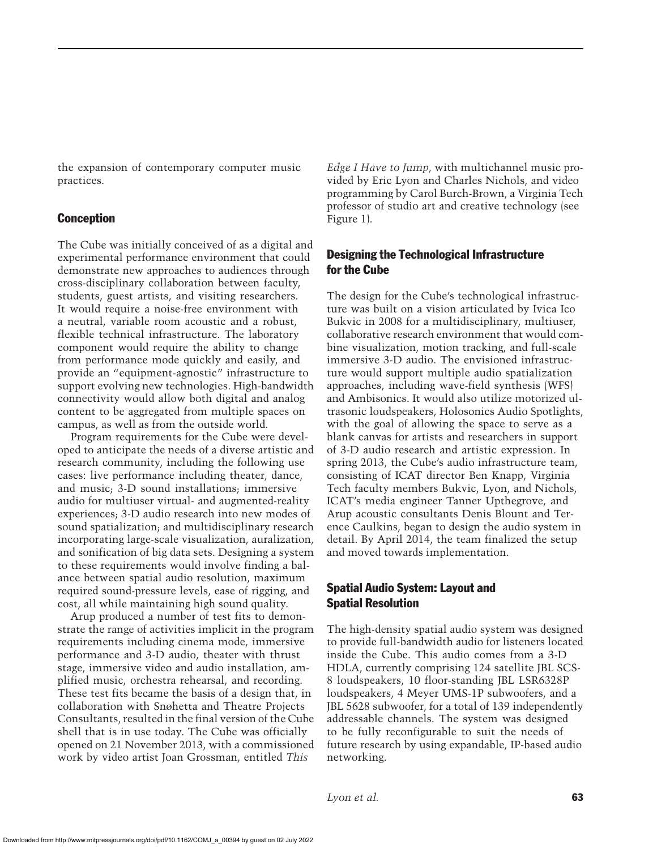the expansion of contemporary computer music practices.

## Conception

The Cube was initially conceived of as a digital and experimental performance environment that could demonstrate new approaches to audiences through cross-disciplinary collaboration between faculty, students, guest artists, and visiting researchers. It would require a noise-free environment with a neutral, variable room acoustic and a robust, flexible technical infrastructure. The laboratory component would require the ability to change from performance mode quickly and easily, and provide an "equipment-agnostic" infrastructure to support evolving new technologies. High-bandwidth connectivity would allow both digital and analog content to be aggregated from multiple spaces on campus, as well as from the outside world.

Program requirements for the Cube were developed to anticipate the needs of a diverse artistic and research community, including the following use cases: live performance including theater, dance, and music; 3-D sound installations; immersive audio for multiuser virtual- and augmented-reality experiences; 3-D audio research into new modes of sound spatialization; and multidisciplinary research incorporating large-scale visualization, auralization, and sonification of big data sets. Designing a system to these requirements would involve finding a balance between spatial audio resolution, maximum required sound-pressure levels, ease of rigging, and cost, all while maintaining high sound quality.

Arup produced a number of test fits to demonstrate the range of activities implicit in the program requirements including cinema mode, immersive performance and 3-D audio, theater with thrust stage, immersive video and audio installation, amplified music, orchestra rehearsal, and recording. These test fits became the basis of a design that, in collaboration with Snøhetta and Theatre Projects Consultants, resulted in the final version of the Cube shell that is in use today. The Cube was officially opened on 21 November 2013, with a commissioned work by video artist Joan Grossman, entitled *This*

*Edge I Have to Jump*, with multichannel music provided by Eric Lyon and Charles Nichols, and video programming by Carol Burch-Brown, a Virginia Tech professor of studio art and creative technology (see Figure 1).

## Designing the Technological Infrastructure for the Cube

The design for the Cube's technological infrastructure was built on a vision articulated by Ivica Ico Bukvic in 2008 for a multidisciplinary, multiuser, collaborative research environment that would combine visualization, motion tracking, and full-scale immersive 3-D audio. The envisioned infrastructure would support multiple audio spatialization approaches, including wave-field synthesis (WFS) and Ambisonics. It would also utilize motorized ultrasonic loudspeakers, Holosonics Audio Spotlights, with the goal of allowing the space to serve as a blank canvas for artists and researchers in support of 3-D audio research and artistic expression. In spring 2013, the Cube's audio infrastructure team, consisting of ICAT director Ben Knapp, Virginia Tech faculty members Bukvic, Lyon, and Nichols, ICAT's media engineer Tanner Upthegrove, and Arup acoustic consultants Denis Blount and Terence Caulkins, began to design the audio system in detail. By April 2014, the team finalized the setup and moved towards implementation.

## Spatial Audio System: Layout and Spatial Resolution

The high-density spatial audio system was designed to provide full-bandwidth audio for listeners located inside the Cube. This audio comes from a 3-D HDLA, currently comprising 124 satellite JBL SCS-8 loudspeakers, 10 floor-standing JBL LSR6328P loudspeakers, 4 Meyer UMS-1P subwoofers, and a JBL 5628 subwoofer, for a total of 139 independently addressable channels. The system was designed to be fully reconfigurable to suit the needs of future research by using expandable, IP-based audio networking.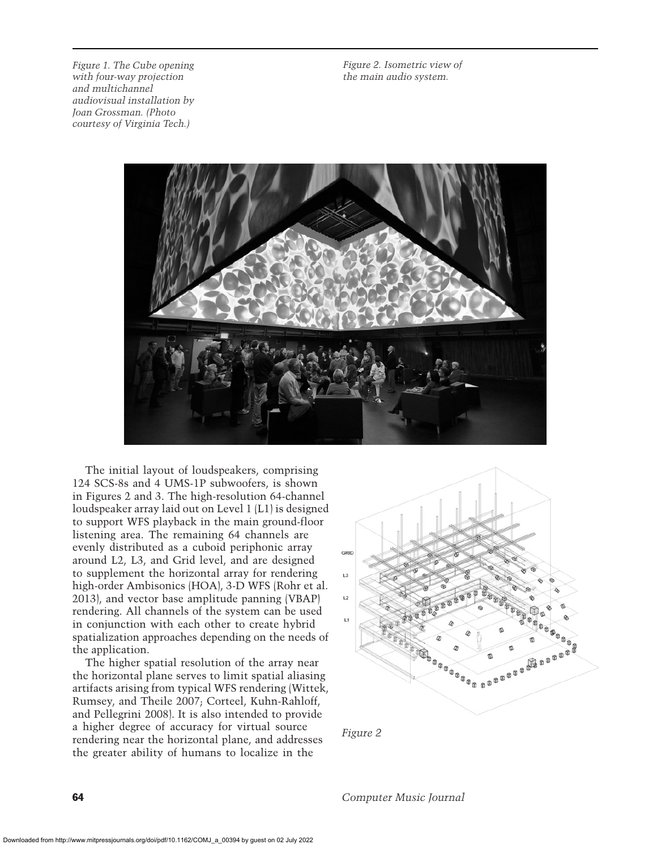*Figure 1. The Cube opening with four-way projection and multichannel audiovisual installation by Joan Grossman. (Photo courtesy of Virginia Tech.)*

*Figure 2. Isometric view of the main audio system.*



The initial layout of loudspeakers, comprising 124 SCS-8s and 4 UMS-1P subwoofers, is shown in Figures 2 and 3. The high-resolution 64-channel loudspeaker array laid out on Level 1 (L1) is designed to support WFS playback in the main ground-floor listening area. The remaining 64 channels are evenly distributed as a cuboid periphonic array around L2, L3, and Grid level, and are designed to supplement the horizontal array for rendering high-order Ambisonics (HOA), 3-D WFS (Rohr et al. 2013), and vector base amplitude panning (VBAP) rendering. All channels of the system can be used in conjunction with each other to create hybrid spatialization approaches depending on the needs of the application.

The higher spatial resolution of the array near the horizontal plane serves to limit spatial aliasing artifacts arising from typical WFS rendering (Wittek, Rumsey, and Theile 2007; Corteel, Kuhn-Rahloff, and Pellegrini 2008). It is also intended to provide a higher degree of accuracy for virtual source rendering near the horizontal plane, and addresses the greater ability of humans to localize in the



*Figure 2*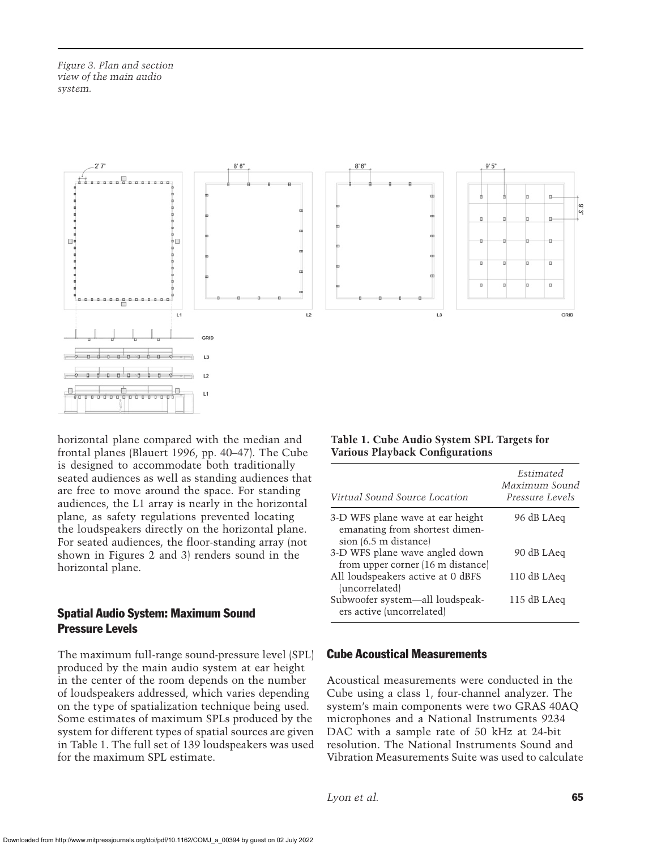*Figure 3. Plan and section view of the main audio system.*



horizontal plane compared with the median and frontal planes (Blauert 1996, pp. 40–47). The Cube is designed to accommodate both traditionally seated audiences as well as standing audiences that are free to move around the space. For standing audiences, the L1 array is nearly in the horizontal plane, as safety regulations prevented locating the loudspeakers directly on the horizontal plane. For seated audiences, the floor-standing array (not shown in Figures 2 and 3) renders sound in the horizontal plane.

## Spatial Audio System: Maximum Sound Pressure Levels

The maximum full-range sound-pressure level (SPL) produced by the main audio system at ear height in the center of the room depends on the number of loudspeakers addressed, which varies depending on the type of spatialization technique being used. Some estimates of maximum SPLs produced by the system for different types of spatial sources are given in Table 1. The full set of 139 loudspeakers was used for the maximum SPL estimate.

#### **Table 1. Cube Audio System SPL Targets for Various Playback Configurations**

| Virtual Sound Source Location                                                               | Estimated<br>Maximum Sound<br><i>Pressure Levels</i> |
|---------------------------------------------------------------------------------------------|------------------------------------------------------|
| 3-D WFS plane wave at ear height<br>emanating from shortest dimen-<br>sion (6.5 m distance) | 96 dB LAeq                                           |
| 3-D WFS plane wave angled down<br>from upper corner (16 m distance)                         | 90 dB LAeq                                           |
| All loudspeakers active at 0 dBFS<br>(uncorrelated)                                         | 110 dB LAeq                                          |
| Subwoofer system—all loudspeak-<br>ers active (uncorrelated)                                | 115 dB LAeq                                          |

## Cube Acoustical Measurements

Acoustical measurements were conducted in the Cube using a class 1, four-channel analyzer. The system's main components were two GRAS 40AQ microphones and a National Instruments 9234 DAC with a sample rate of 50 kHz at 24-bit resolution. The National Instruments Sound and Vibration Measurements Suite was used to calculate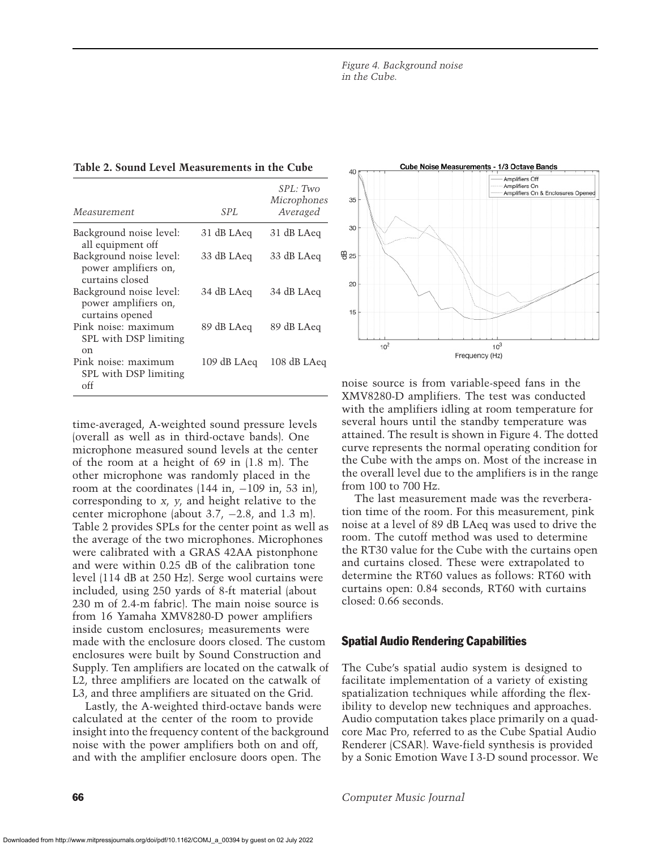| Measurement                                                        | SPL         | SPL: Two<br>Microphones<br>Averaged |
|--------------------------------------------------------------------|-------------|-------------------------------------|
| Background noise level:<br>all equipment off                       | 31 dB LAeq  | 31 dB LAeq                          |
| Background noise level:<br>power amplifiers on,<br>curtains closed | 33 dB LAeq  | 33 dB LAeq                          |
| Background noise level:<br>power amplifiers on.<br>curtains opened | 34 dB LAeq  | 34 dB LAeq                          |
| Pink noise: maximum<br>SPL with DSP limiting<br>$_{\rm on}$        | 89 dB LAeq  | 89 dB LAeq                          |
| Pink noise: maximum<br>SPL with DSP limiting<br>off                | 109 dB LAeq | 108 dB LAeq                         |

time-averaged, A-weighted sound pressure levels (overall as well as in third-octave bands). One microphone measured sound levels at the center of the room at a height of 69 in (1.8 m). The other microphone was randomly placed in the room at the coordinates  $(144 \text{ in}, -109 \text{ in}, 53 \text{ in})$ , corresponding to *x*, *y*, and height relative to the center microphone (about 3.7, −2.8, and 1.3 m). Table 2 provides SPLs for the center point as well as the average of the two microphones. Microphones were calibrated with a GRAS 42AA pistonphone and were within 0.25 dB of the calibration tone level (114 dB at 250 Hz). Serge wool curtains were included, using 250 yards of 8-ft material (about 230 m of 2.4-m fabric). The main noise source is from 16 Yamaha XMV8280-D power amplifiers inside custom enclosures; measurements were made with the enclosure doors closed. The custom enclosures were built by Sound Construction and Supply. Ten amplifiers are located on the catwalk of L2, three amplifiers are located on the catwalk of L3, and three amplifiers are situated on the Grid.

Lastly, the A-weighted third-octave bands were calculated at the center of the room to provide insight into the frequency content of the background noise with the power amplifiers both on and off, and with the amplifier enclosure doors open. The



noise source is from variable-speed fans in the XMV8280-D amplifiers. The test was conducted with the amplifiers idling at room temperature for several hours until the standby temperature was attained. The result is shown in Figure 4. The dotted curve represents the normal operating condition for the Cube with the amps on. Most of the increase in the overall level due to the amplifiers is in the range from 100 to 700 Hz.

The last measurement made was the reverberation time of the room. For this measurement, pink noise at a level of 89 dB LAeq was used to drive the room. The cutoff method was used to determine the RT30 value for the Cube with the curtains open and curtains closed. These were extrapolated to determine the RT60 values as follows: RT60 with curtains open: 0.84 seconds, RT60 with curtains closed: 0.66 seconds.

## Spatial Audio Rendering Capabilities

The Cube's spatial audio system is designed to facilitate implementation of a variety of existing spatialization techniques while affording the flexibility to develop new techniques and approaches. Audio computation takes place primarily on a quadcore Mac Pro, referred to as the Cube Spatial Audio Renderer (CSAR). Wave-field synthesis is provided by a Sonic Emotion Wave I 3-D sound processor. We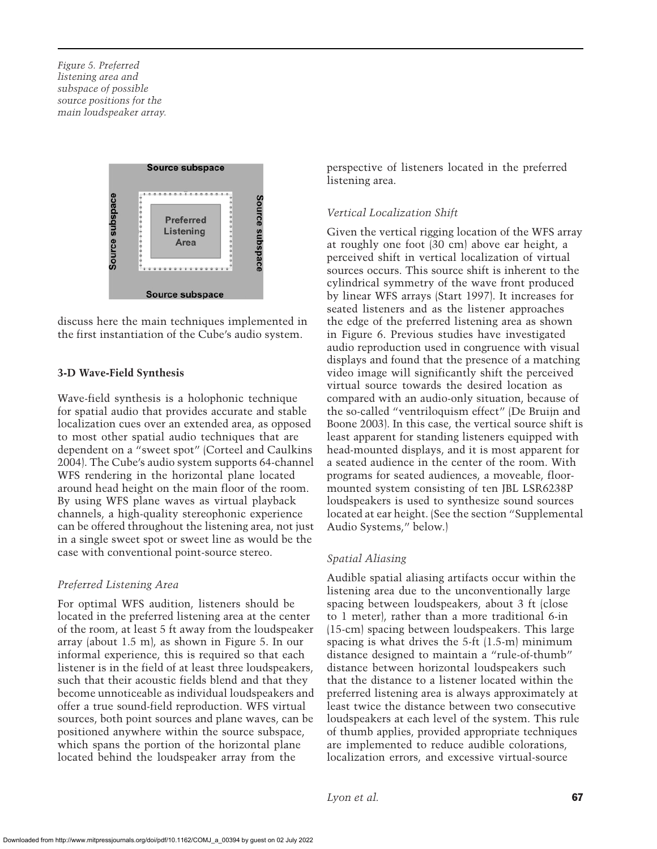*Figure 5. Preferred listening area and subspace of possible source positions for the main loudspeaker array.*



discuss here the main techniques implemented in the first instantiation of the Cube's audio system.

## **3-D Wave-Field Synthesis**

Wave-field synthesis is a holophonic technique for spatial audio that provides accurate and stable localization cues over an extended area, as opposed to most other spatial audio techniques that are dependent on a "sweet spot" (Corteel and Caulkins 2004). The Cube's audio system supports 64-channel WFS rendering in the horizontal plane located around head height on the main floor of the room. By using WFS plane waves as virtual playback channels, a high-quality stereophonic experience can be offered throughout the listening area, not just in a single sweet spot or sweet line as would be the case with conventional point-source stereo.

#### *Preferred Listening Area*

For optimal WFS audition, listeners should be located in the preferred listening area at the center of the room, at least 5 ft away from the loudspeaker array (about 1.5 m), as shown in Figure 5. In our informal experience, this is required so that each listener is in the field of at least three loudspeakers, such that their acoustic fields blend and that they become unnoticeable as individual loudspeakers and offer a true sound-field reproduction. WFS virtual sources, both point sources and plane waves, can be positioned anywhere within the source subspace, which spans the portion of the horizontal plane located behind the loudspeaker array from the

perspective of listeners located in the preferred listening area.

#### *Vertical Localization Shift*

Given the vertical rigging location of the WFS array at roughly one foot (30 cm) above ear height, a perceived shift in vertical localization of virtual sources occurs. This source shift is inherent to the cylindrical symmetry of the wave front produced by linear WFS arrays (Start 1997). It increases for seated listeners and as the listener approaches the edge of the preferred listening area as shown in Figure 6. Previous studies have investigated audio reproduction used in congruence with visual displays and found that the presence of a matching video image will significantly shift the perceived virtual source towards the desired location as compared with an audio-only situation, because of the so-called "ventriloquism effect" (De Bruijn and Boone 2003). In this case, the vertical source shift is least apparent for standing listeners equipped with head-mounted displays, and it is most apparent for a seated audience in the center of the room. With programs for seated audiences, a moveable, floormounted system consisting of ten JBL LSR6238P loudspeakers is used to synthesize sound sources located at ear height. (See the section "Supplemental Audio Systems," below.)

## *Spatial Aliasing*

Audible spatial aliasing artifacts occur within the listening area due to the unconventionally large spacing between loudspeakers, about 3 ft (close to 1 meter), rather than a more traditional 6-in (15-cm) spacing between loudspeakers. This large spacing is what drives the 5-ft (1.5-m) minimum distance designed to maintain a "rule-of-thumb" distance between horizontal loudspeakers such that the distance to a listener located within the preferred listening area is always approximately at least twice the distance between two consecutive loudspeakers at each level of the system. This rule of thumb applies, provided appropriate techniques are implemented to reduce audible colorations, localization errors, and excessive virtual-source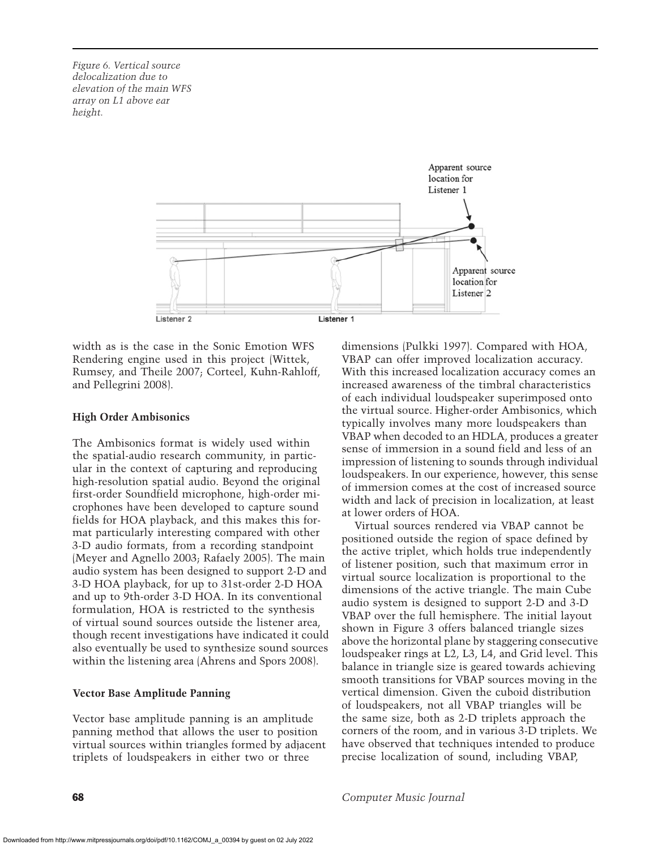*Figure 6. Vertical source delocalization due to elevation of the main WFS array on L1 above ear height.*



width as is the case in the Sonic Emotion WFS Rendering engine used in this project (Wittek, Rumsey, and Theile 2007; Corteel, Kuhn-Rahloff, and Pellegrini 2008).

#### **High Order Ambisonics**

The Ambisonics format is widely used within the spatial-audio research community, in particular in the context of capturing and reproducing high-resolution spatial audio. Beyond the original first-order Soundfield microphone, high-order microphones have been developed to capture sound fields for HOA playback, and this makes this format particularly interesting compared with other 3-D audio formats, from a recording standpoint (Meyer and Agnello 2003; Rafaely 2005). The main audio system has been designed to support 2-D and 3-D HOA playback, for up to 31st-order 2-D HOA and up to 9th-order 3-D HOA. In its conventional formulation, HOA is restricted to the synthesis of virtual sound sources outside the listener area, though recent investigations have indicated it could also eventually be used to synthesize sound sources within the listening area (Ahrens and Spors 2008).

#### **Vector Base Amplitude Panning**

Vector base amplitude panning is an amplitude panning method that allows the user to position virtual sources within triangles formed by adjacent triplets of loudspeakers in either two or three

dimensions (Pulkki 1997). Compared with HOA, VBAP can offer improved localization accuracy. With this increased localization accuracy comes an increased awareness of the timbral characteristics of each individual loudspeaker superimposed onto the virtual source. Higher-order Ambisonics, which typically involves many more loudspeakers than VBAP when decoded to an HDLA, produces a greater sense of immersion in a sound field and less of an impression of listening to sounds through individual loudspeakers. In our experience, however, this sense of immersion comes at the cost of increased source width and lack of precision in localization, at least at lower orders of HOA.

Virtual sources rendered via VBAP cannot be positioned outside the region of space defined by the active triplet, which holds true independently of listener position, such that maximum error in virtual source localization is proportional to the dimensions of the active triangle. The main Cube audio system is designed to support 2-D and 3-D VBAP over the full hemisphere. The initial layout shown in Figure 3 offers balanced triangle sizes above the horizontal plane by staggering consecutive loudspeaker rings at L2, L3, L4, and Grid level. This balance in triangle size is geared towards achieving smooth transitions for VBAP sources moving in the vertical dimension. Given the cuboid distribution of loudspeakers, not all VBAP triangles will be the same size, both as 2-D triplets approach the corners of the room, and in various 3-D triplets. We have observed that techniques intended to produce precise localization of sound, including VBAP,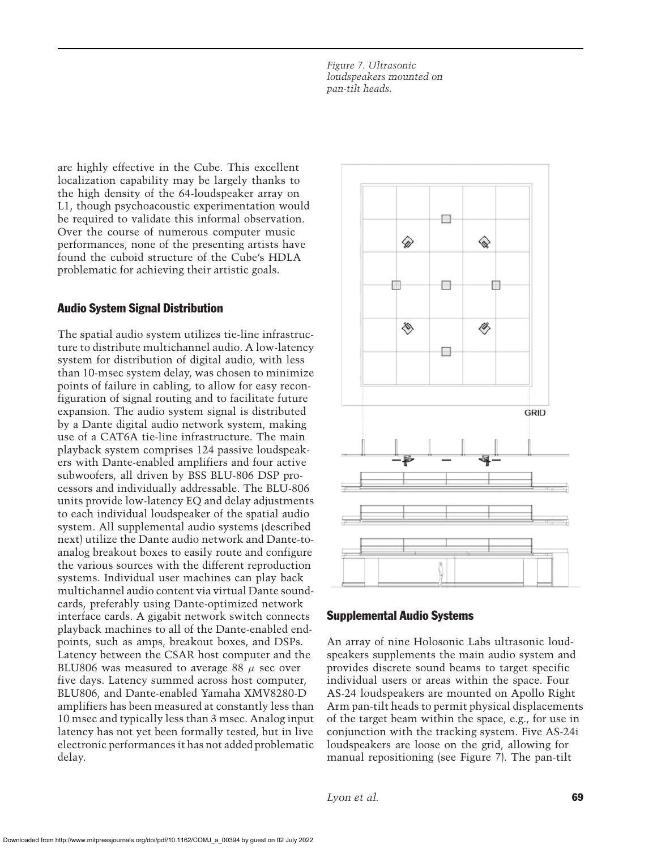*Figure 7. Ultrasonic loudspeakers mounted on pan-tilt heads.*

are highly effective in the Cube. This excellent localization capability may be largely thanks to the high density of the 64-loudspeaker array on L1, though psychoacoustic experimentation would be required to validate this informal observation. Over the course of numerous computer music performances, none of the presenting artists have found the cuboid structure of the Cube's HDLA problematic for achieving their artistic goals.

## Audio System Signal Distribution

The spatial audio system utilizes tie-line infrastructure to distribute multichannel audio. A low-latency system for distribution of digital audio, with less than 10-msec system delay, was chosen to minimize points of failure in cabling, to allow for easy reconfiguration of signal routing and to facilitate future expansion. The audio system signal is distributed by a Dante digital audio network system, making use of a CAT6A tie-line infrastructure. The main playback system comprises 124 passive loudspeakers with Dante-enabled amplifiers and four active subwoofers, all driven by BSS BLU-806 DSP processors and individually addressable. The BLU-806 units provide low-latency EQ and delay adjustments to each individual loudspeaker of the spatial audio system. All supplemental audio systems (described next) utilize the Dante audio network and Dante-toanalog breakout boxes to easily route and configure the various sources with the different reproduction systems. Individual user machines can play back multichannel audio content via virtual Dante soundcards, preferably using Dante-optimized network interface cards. A gigabit network switch connects playback machines to all of the Dante-enabled endpoints, such as amps, breakout boxes, and DSPs. Latency between the CSAR host computer and the BLU806 was measured to average 88  $\mu$  sec over five days. Latency summed across host computer, BLU806, and Dante-enabled Yamaha XMV8280-D amplifiers has been measured at constantly less than 10 msec and typically less than 3 msec. Analog input latency has not yet been formally tested, but in live electronic performances it has not added problematic delay.



#### Supplemental Audio Systems

An array of nine Holosonic Labs ultrasonic loudspeakers supplements the main audio system and provides discrete sound beams to target specific individual users or areas within the space. Four AS-24 loudspeakers are mounted on Apollo Right Arm pan-tilt heads to permit physical displacements of the target beam within the space, e.g., for use in conjunction with the tracking system. Five AS-24i loudspeakers are loose on the grid, allowing for manual repositioning (see Figure 7). The pan-tilt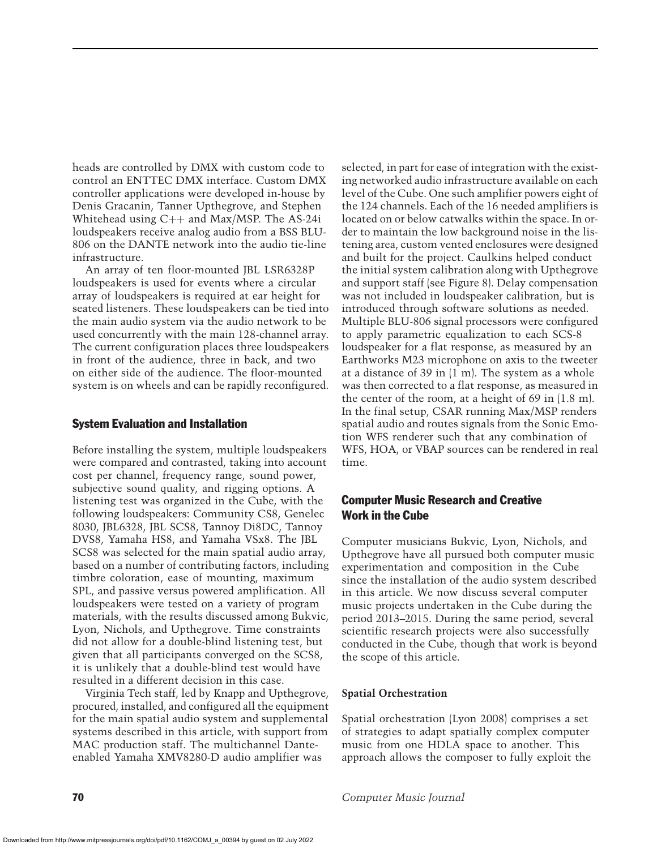heads are controlled by DMX with custom code to control an ENTTEC DMX interface. Custom DMX controller applications were developed in-house by Denis Gracanin, Tanner Upthegrove, and Stephen Whitehead using C++ and Max/MSP. The AS-24i loudspeakers receive analog audio from a BSS BLU-806 on the DANTE network into the audio tie-line infrastructure.

An array of ten floor-mounted JBL LSR6328P loudspeakers is used for events where a circular array of loudspeakers is required at ear height for seated listeners. These loudspeakers can be tied into the main audio system via the audio network to be used concurrently with the main 128-channel array. The current configuration places three loudspeakers in front of the audience, three in back, and two on either side of the audience. The floor-mounted system is on wheels and can be rapidly reconfigured.

#### System Evaluation and Installation

Before installing the system, multiple loudspeakers were compared and contrasted, taking into account cost per channel, frequency range, sound power, subjective sound quality, and rigging options. A listening test was organized in the Cube, with the following loudspeakers: Community CS8, Genelec 8030, JBL6328, JBL SCS8, Tannoy Di8DC, Tannoy DVS8, Yamaha HS8, and Yamaha VSx8. The JBL SCS8 was selected for the main spatial audio array, based on a number of contributing factors, including timbre coloration, ease of mounting, maximum SPL, and passive versus powered amplification. All loudspeakers were tested on a variety of program materials, with the results discussed among Bukvic, Lyon, Nichols, and Upthegrove. Time constraints did not allow for a double-blind listening test, but given that all participants converged on the SCS8, it is unlikely that a double-blind test would have resulted in a different decision in this case.

Virginia Tech staff, led by Knapp and Upthegrove, procured, installed, and configured all the equipment for the main spatial audio system and supplemental systems described in this article, with support from MAC production staff. The multichannel Danteenabled Yamaha XMV8280-D audio amplifier was

selected, in part for ease of integration with the existing networked audio infrastructure available on each level of the Cube. One such amplifier powers eight of the 124 channels. Each of the 16 needed amplifiers is located on or below catwalks within the space. In order to maintain the low background noise in the listening area, custom vented enclosures were designed and built for the project. Caulkins helped conduct the initial system calibration along with Upthegrove and support staff (see Figure 8). Delay compensation was not included in loudspeaker calibration, but is introduced through software solutions as needed. Multiple BLU-806 signal processors were configured to apply parametric equalization to each SCS-8 loudspeaker for a flat response, as measured by an Earthworks M23 microphone on axis to the tweeter at a distance of 39 in (1 m). The system as a whole was then corrected to a flat response, as measured in the center of the room, at a height of 69 in (1.8 m). In the final setup, CSAR running Max/MSP renders spatial audio and routes signals from the Sonic Emotion WFS renderer such that any combination of WFS, HOA, or VBAP sources can be rendered in real time.

## Computer Music Research and Creative Work in the Cube

Computer musicians Bukvic, Lyon, Nichols, and Upthegrove have all pursued both computer music experimentation and composition in the Cube since the installation of the audio system described in this article. We now discuss several computer music projects undertaken in the Cube during the period 2013–2015. During the same period, several scientific research projects were also successfully conducted in the Cube, though that work is beyond the scope of this article.

#### **Spatial Orchestration**

Spatial orchestration (Lyon 2008) comprises a set of strategies to adapt spatially complex computer music from one HDLA space to another. This approach allows the composer to fully exploit the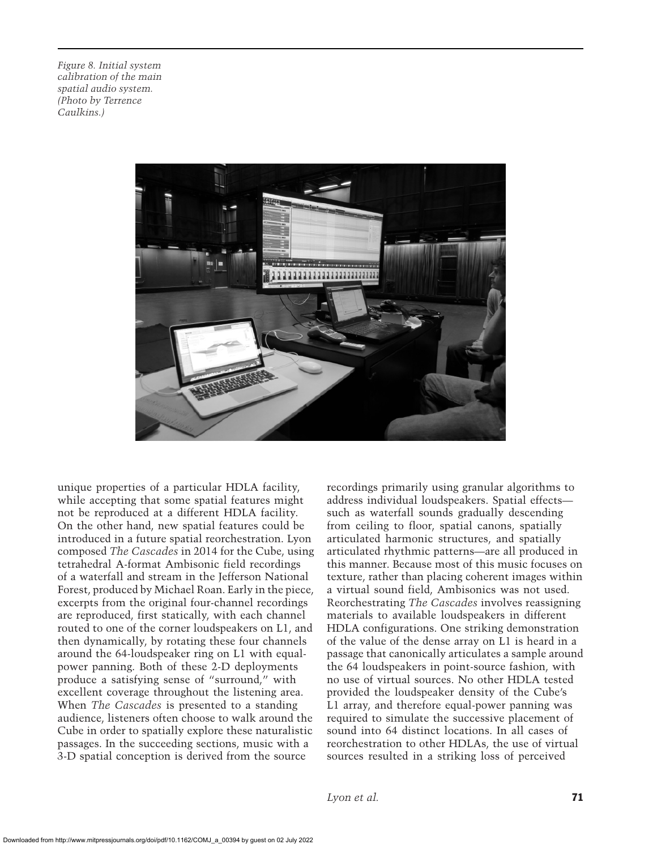*Figure 8. Initial system calibration of the main spatial audio system. (Photo by Terrence Caulkins.)*



unique properties of a particular HDLA facility, while accepting that some spatial features might not be reproduced at a different HDLA facility. On the other hand, new spatial features could be introduced in a future spatial reorchestration. Lyon composed *The Cascades* in 2014 for the Cube, using tetrahedral A-format Ambisonic field recordings of a waterfall and stream in the Jefferson National Forest, produced by Michael Roan. Early in the piece, excerpts from the original four-channel recordings are reproduced, first statically, with each channel routed to one of the corner loudspeakers on L1, and then dynamically, by rotating these four channels around the 64-loudspeaker ring on L1 with equalpower panning. Both of these 2-D deployments produce a satisfying sense of "surround," with excellent coverage throughout the listening area. When *The Cascades* is presented to a standing audience, listeners often choose to walk around the Cube in order to spatially explore these naturalistic passages. In the succeeding sections, music with a 3-D spatial conception is derived from the source

recordings primarily using granular algorithms to address individual loudspeakers. Spatial effects such as waterfall sounds gradually descending from ceiling to floor, spatial canons, spatially articulated harmonic structures, and spatially articulated rhythmic patterns—are all produced in this manner. Because most of this music focuses on texture, rather than placing coherent images within a virtual sound field, Ambisonics was not used. Reorchestrating *The Cascades* involves reassigning materials to available loudspeakers in different HDLA configurations. One striking demonstration of the value of the dense array on L1 is heard in a passage that canonically articulates a sample around the 64 loudspeakers in point-source fashion, with no use of virtual sources. No other HDLA tested provided the loudspeaker density of the Cube's L1 array, and therefore equal-power panning was required to simulate the successive placement of sound into 64 distinct locations. In all cases of reorchestration to other HDLAs, the use of virtual sources resulted in a striking loss of perceived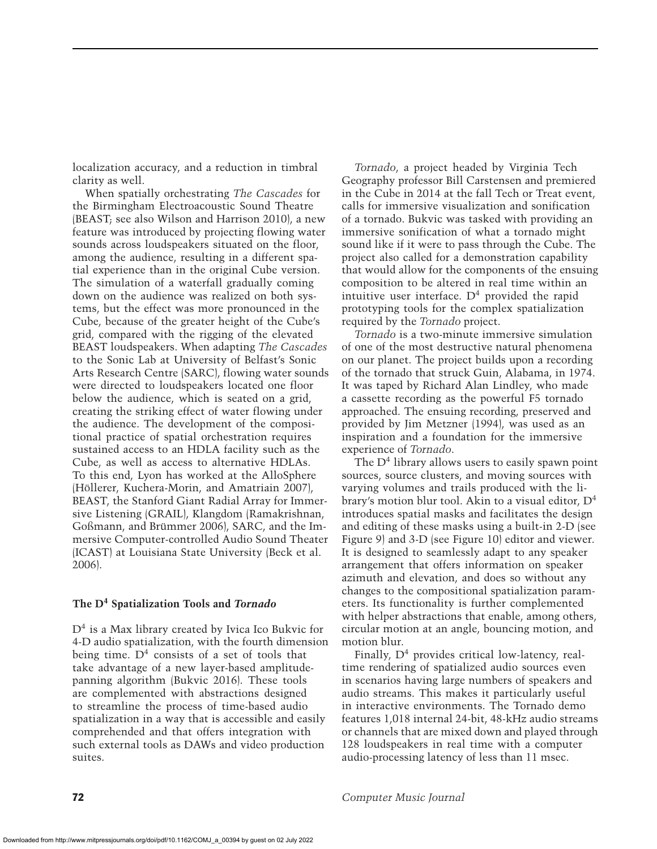localization accuracy, and a reduction in timbral clarity as well.

When spatially orchestrating *The Cascades* for the Birmingham Electroacoustic Sound Theatre (BEAST; see also Wilson and Harrison 2010), a new feature was introduced by projecting flowing water sounds across loudspeakers situated on the floor, among the audience, resulting in a different spatial experience than in the original Cube version. The simulation of a waterfall gradually coming down on the audience was realized on both systems, but the effect was more pronounced in the Cube, because of the greater height of the Cube's grid, compared with the rigging of the elevated BEAST loudspeakers. When adapting *The Cascades* to the Sonic Lab at University of Belfast's Sonic Arts Research Centre (SARC), flowing water sounds were directed to loudspeakers located one floor below the audience, which is seated on a grid, creating the striking effect of water flowing under the audience. The development of the compositional practice of spatial orchestration requires sustained access to an HDLA facility such as the Cube, as well as access to alternative HDLAs. To this end, Lyon has worked at the AlloSphere (Höllerer, Kuchera-Morin, and Amatriain 2007), BEAST, the Stanford Giant Radial Array for Immersive Listening (GRAIL), Klangdom (Ramakrishnan, Goßmann, and Brümmer 2006), SARC, and the Immersive Computer-controlled Audio Sound Theater (ICAST) at Louisiana State University (Beck et al. 2006).

#### **The D4 Spatialization Tools and** *Tornado*

 $D<sup>4</sup>$  is a Max library created by Ivica Ico Bukvic for 4-D audio spatialization, with the fourth dimension being time.  $D<sup>4</sup>$  consists of a set of tools that take advantage of a new layer-based amplitudepanning algorithm (Bukvic 2016). These tools are complemented with abstractions designed to streamline the process of time-based audio spatialization in a way that is accessible and easily comprehended and that offers integration with such external tools as DAWs and video production suites.

*Tornado*, a project headed by Virginia Tech Geography professor Bill Carstensen and premiered in the Cube in 2014 at the fall Tech or Treat event, calls for immersive visualization and sonification of a tornado. Bukvic was tasked with providing an immersive sonification of what a tornado might sound like if it were to pass through the Cube. The project also called for a demonstration capability that would allow for the components of the ensuing composition to be altered in real time within an intuitive user interface.  $D<sup>4</sup>$  provided the rapid prototyping tools for the complex spatialization required by the *Tornado* project.

*Tornado* is a two-minute immersive simulation of one of the most destructive natural phenomena on our planet. The project builds upon a recording of the tornado that struck Guin, Alabama, in 1974. It was taped by Richard Alan Lindley, who made a cassette recording as the powerful F5 tornado approached. The ensuing recording, preserved and provided by Jim Metzner (1994), was used as an inspiration and a foundation for the immersive experience of *Tornado*.

The D<sup>4</sup> library allows users to easily spawn point sources, source clusters, and moving sources with varying volumes and trails produced with the library's motion blur tool. Akin to a visual editor, D4 introduces spatial masks and facilitates the design and editing of these masks using a built-in 2-D (see Figure 9) and 3-D (see Figure 10) editor and viewer. It is designed to seamlessly adapt to any speaker arrangement that offers information on speaker azimuth and elevation, and does so without any changes to the compositional spatialization parameters. Its functionality is further complemented with helper abstractions that enable, among others, circular motion at an angle, bouncing motion, and motion blur.

Finally,  $D^4$  provides critical low-latency, realtime rendering of spatialized audio sources even in scenarios having large numbers of speakers and audio streams. This makes it particularly useful in interactive environments. The Tornado demo features 1,018 internal 24-bit, 48-kHz audio streams or channels that are mixed down and played through 128 loudspeakers in real time with a computer audio-processing latency of less than 11 msec.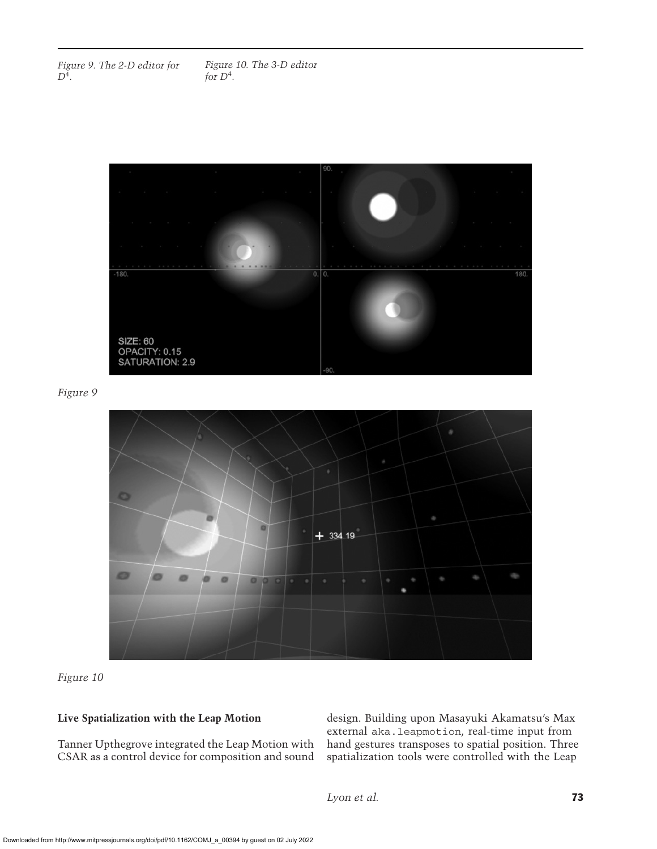*Figure 9. The 2-D editor for D*<sup>4</sup>*.*



*Figure 9*



*Figure 10*

## **Live Spatialization with the Leap Motion**

Tanner Upthegrove integrated the Leap Motion with CSAR as a control device for composition and sound design. Building upon Masayuki Akamatsu's Max external aka.leapmotion, real-time input from hand gestures transposes to spatial position. Three spatialization tools were controlled with the Leap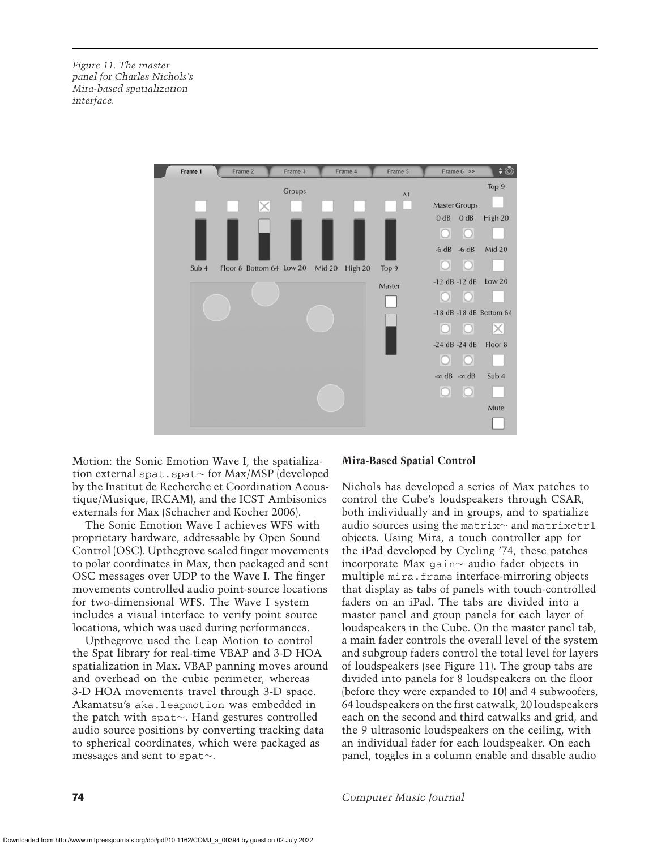*Figure 11. The master panel for Charles Nichols's Mira-based spatialization interface.*



Motion: the Sonic Emotion Wave I, the spatialization external spat.spat∼ for Max/MSP (developed by the Institut de Recherche et Coordination Acoustique/Musique, IRCAM), and the ICST Ambisonics externals for Max (Schacher and Kocher 2006).

The Sonic Emotion Wave I achieves WFS with proprietary hardware, addressable by Open Sound Control (OSC). Upthegrove scaled finger movements to polar coordinates in Max, then packaged and sent OSC messages over UDP to the Wave I. The finger movements controlled audio point-source locations for two-dimensional WFS. The Wave I system includes a visual interface to verify point source locations, which was used during performances.

Upthegrove used the Leap Motion to control the Spat library for real-time VBAP and 3-D HOA spatialization in Max. VBAP panning moves around and overhead on the cubic perimeter, whereas 3-D HOA movements travel through 3-D space. Akamatsu's aka.leapmotion was embedded in the patch with spat∼. Hand gestures controlled audio source positions by converting tracking data to spherical coordinates, which were packaged as messages and sent to spat∼.

#### **Mira-Based Spatial Control**

Nichols has developed a series of Max patches to control the Cube's loudspeakers through CSAR, both individually and in groups, and to spatialize audio sources using the matrix∼ and matrixctrl objects. Using Mira, a touch controller app for the iPad developed by Cycling '74, these patches incorporate Max gain∼ audio fader objects in multiple mira.frame interface-mirroring objects that display as tabs of panels with touch-controlled faders on an iPad. The tabs are divided into a master panel and group panels for each layer of loudspeakers in the Cube. On the master panel tab, a main fader controls the overall level of the system and subgroup faders control the total level for layers of loudspeakers (see Figure 11). The group tabs are divided into panels for 8 loudspeakers on the floor (before they were expanded to 10) and 4 subwoofers, 64 loudspeakers on the first catwalk, 20 loudspeakers each on the second and third catwalks and grid, and the 9 ultrasonic loudspeakers on the ceiling, with an individual fader for each loudspeaker. On each panel, toggles in a column enable and disable audio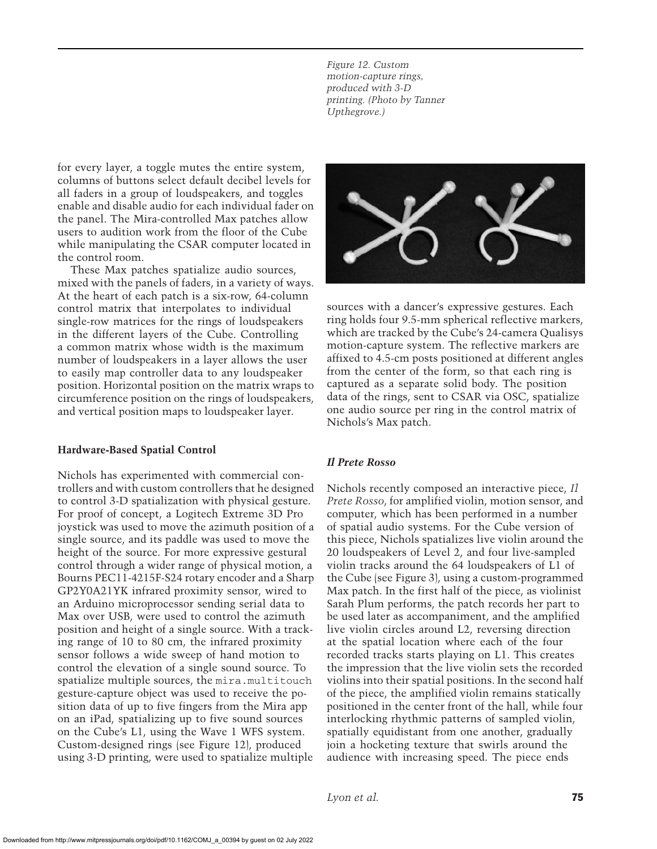*Figure 12. Custom motion-capture rings, produced with 3-D printing. (Photo by Tanner Upthegrove.)*

for every layer, a toggle mutes the entire system, columns of buttons select default decibel levels for all faders in a group of loudspeakers, and toggles enable and disable audio for each individual fader on the panel. The Mira-controlled Max patches allow users to audition work from the floor of the Cube while manipulating the CSAR computer located in the control room.

These Max patches spatialize audio sources, mixed with the panels of faders, in a variety of ways. At the heart of each patch is a six-row, 64-column control matrix that interpolates to individual single-row matrices for the rings of loudspeakers in the different layers of the Cube. Controlling a common matrix whose width is the maximum number of loudspeakers in a layer allows the user to easily map controller data to any loudspeaker position. Horizontal position on the matrix wraps to circumference position on the rings of loudspeakers, and vertical position maps to loudspeaker layer.

#### **Hardware-Based Spatial Control**

Nichols has experimented with commercial controllers and with custom controllers that he designed to control 3-D spatialization with physical gesture. For proof of concept, a Logitech Extreme 3D Pro joystick was used to move the azimuth position of a single source, and its paddle was used to move the height of the source. For more expressive gestural control through a wider range of physical motion, a Bourns PEC11-4215F-S24 rotary encoder and a Sharp GP2Y0A21YK infrared proximity sensor, wired to an Arduino microprocessor sending serial data to Max over USB, were used to control the azimuth position and height of a single source. With a tracking range of 10 to 80 cm, the infrared proximity sensor follows a wide sweep of hand motion to control the elevation of a single sound source. To spatialize multiple sources, the mira.multitouch gesture-capture object was used to receive the position data of up to five fingers from the Mira app on an iPad, spatializing up to five sound sources on the Cube's L1, using the Wave 1 WFS system. Custom-designed rings (see Figure 12), produced using 3-D printing, were used to spatialize multiple



sources with a dancer's expressive gestures. Each ring holds four 9.5-mm spherical reflective markers, which are tracked by the Cube's 24-camera Qualisys motion-capture system. The reflective markers are affixed to 4.5-cm posts positioned at different angles from the center of the form, so that each ring is captured as a separate solid body. The position data of the rings, sent to CSAR via OSC, spatialize one audio source per ring in the control matrix of Nichols's Max patch.

#### *Il Prete Rosso*

Nichols recently composed an interactive piece, *Il Prete Rosso*, for amplified violin, motion sensor, and computer, which has been performed in a number of spatial audio systems. For the Cube version of this piece, Nichols spatializes live violin around the 20 loudspeakers of Level 2, and four live-sampled violin tracks around the 64 loudspeakers of L1 of the Cube (see Figure 3), using a custom-programmed Max patch. In the first half of the piece, as violinist Sarah Plum performs, the patch records her part to be used later as accompaniment, and the amplified live violin circles around L2, reversing direction at the spatial location where each of the four recorded tracks starts playing on L1. This creates the impression that the live violin sets the recorded violins into their spatial positions. In the second half of the piece, the amplified violin remains statically positioned in the center front of the hall, while four interlocking rhythmic patterns of sampled violin, spatially equidistant from one another, gradually join a hocketing texture that swirls around the audience with increasing speed. The piece ends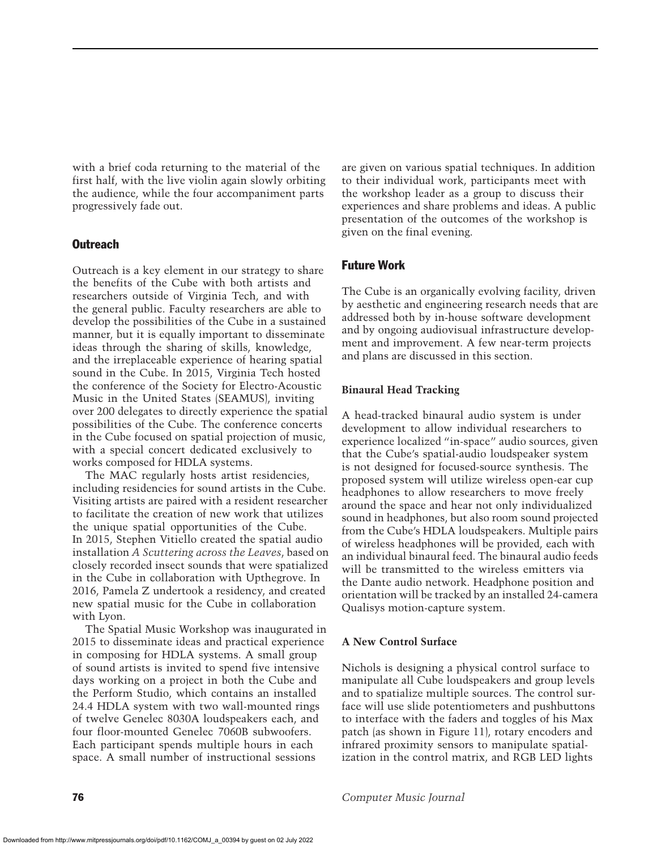with a brief coda returning to the material of the first half, with the live violin again slowly orbiting the audience, while the four accompaniment parts progressively fade out.

## **Outreach**

Outreach is a key element in our strategy to share the benefits of the Cube with both artists and researchers outside of Virginia Tech, and with the general public. Faculty researchers are able to develop the possibilities of the Cube in a sustained manner, but it is equally important to disseminate ideas through the sharing of skills, knowledge, and the irreplaceable experience of hearing spatial sound in the Cube. In 2015, Virginia Tech hosted the conference of the Society for Electro-Acoustic Music in the United States (SEAMUS), inviting over 200 delegates to directly experience the spatial possibilities of the Cube. The conference concerts in the Cube focused on spatial projection of music, with a special concert dedicated exclusively to works composed for HDLA systems.

The MAC regularly hosts artist residencies, including residencies for sound artists in the Cube. Visiting artists are paired with a resident researcher to facilitate the creation of new work that utilizes the unique spatial opportunities of the Cube. In 2015, Stephen Vitiello created the spatial audio installation *A Scuttering across the Leaves*, based on closely recorded insect sounds that were spatialized in the Cube in collaboration with Upthegrove. In 2016, Pamela Z undertook a residency, and created new spatial music for the Cube in collaboration with Lyon.

The Spatial Music Workshop was inaugurated in 2015 to disseminate ideas and practical experience in composing for HDLA systems. A small group of sound artists is invited to spend five intensive days working on a project in both the Cube and the Perform Studio, which contains an installed 24.4 HDLA system with two wall-mounted rings of twelve Genelec 8030A loudspeakers each, and four floor-mounted Genelec 7060B subwoofers. Each participant spends multiple hours in each space. A small number of instructional sessions

are given on various spatial techniques. In addition to their individual work, participants meet with the workshop leader as a group to discuss their experiences and share problems and ideas. A public presentation of the outcomes of the workshop is given on the final evening.

## Future Work

The Cube is an organically evolving facility, driven by aesthetic and engineering research needs that are addressed both by in-house software development and by ongoing audiovisual infrastructure development and improvement. A few near-term projects and plans are discussed in this section.

#### **Binaural Head Tracking**

A head-tracked binaural audio system is under development to allow individual researchers to experience localized "in-space" audio sources, given that the Cube's spatial-audio loudspeaker system is not designed for focused-source synthesis. The proposed system will utilize wireless open-ear cup headphones to allow researchers to move freely around the space and hear not only individualized sound in headphones, but also room sound projected from the Cube's HDLA loudspeakers. Multiple pairs of wireless headphones will be provided, each with an individual binaural feed. The binaural audio feeds will be transmitted to the wireless emitters via the Dante audio network. Headphone position and orientation will be tracked by an installed 24-camera Qualisys motion-capture system.

#### **A New Control Surface**

Nichols is designing a physical control surface to manipulate all Cube loudspeakers and group levels and to spatialize multiple sources. The control surface will use slide potentiometers and pushbuttons to interface with the faders and toggles of his Max patch (as shown in Figure 11), rotary encoders and infrared proximity sensors to manipulate spatialization in the control matrix, and RGB LED lights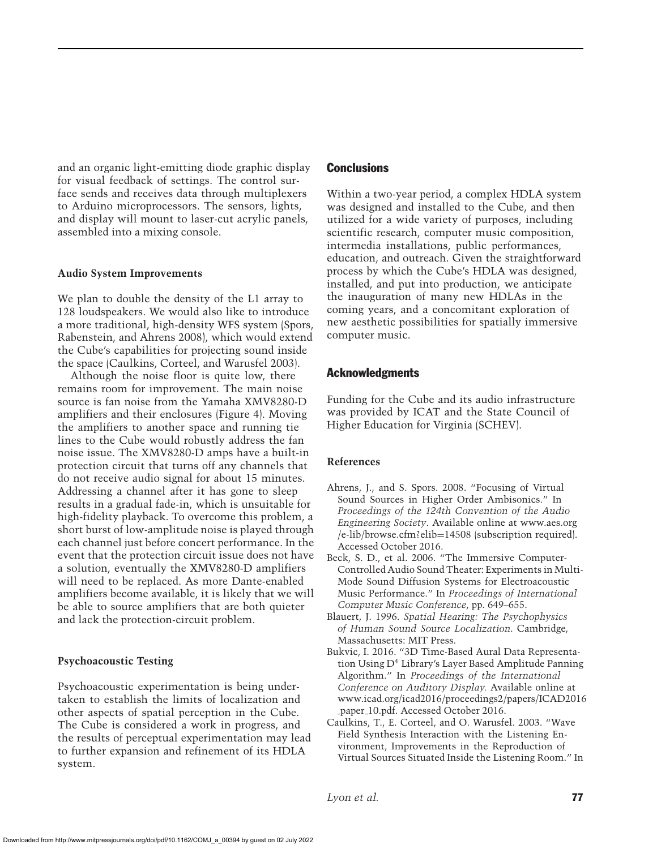and an organic light-emitting diode graphic display for visual feedback of settings. The control surface sends and receives data through multiplexers to Arduino microprocessors. The sensors, lights, and display will mount to laser-cut acrylic panels, assembled into a mixing console.

#### **Audio System Improvements**

We plan to double the density of the L1 array to 128 loudspeakers. We would also like to introduce a more traditional, high-density WFS system (Spors, Rabenstein, and Ahrens 2008), which would extend the Cube's capabilities for projecting sound inside the space (Caulkins, Corteel, and Warusfel 2003).

Although the noise floor is quite low, there remains room for improvement. The main noise source is fan noise from the Yamaha XMV8280-D amplifiers and their enclosures (Figure 4). Moving the amplifiers to another space and running tie lines to the Cube would robustly address the fan noise issue. The XMV8280-D amps have a built-in protection circuit that turns off any channels that do not receive audio signal for about 15 minutes. Addressing a channel after it has gone to sleep results in a gradual fade-in, which is unsuitable for high-fidelity playback. To overcome this problem, a short burst of low-amplitude noise is played through each channel just before concert performance. In the event that the protection circuit issue does not have a solution, eventually the XMV8280-D amplifiers will need to be replaced. As more Dante-enabled amplifiers become available, it is likely that we will be able to source amplifiers that are both quieter and lack the protection-circuit problem.

#### **Psychoacoustic Testing**

Psychoacoustic experimentation is being undertaken to establish the limits of localization and other aspects of spatial perception in the Cube. The Cube is considered a work in progress, and the results of perceptual experimentation may lead to further expansion and refinement of its HDLA system.

#### **Conclusions**

Within a two-year period, a complex HDLA system was designed and installed to the Cube, and then utilized for a wide variety of purposes, including scientific research, computer music composition, intermedia installations, public performances, education, and outreach. Given the straightforward process by which the Cube's HDLA was designed, installed, and put into production, we anticipate the inauguration of many new HDLAs in the coming years, and a concomitant exploration of new aesthetic possibilities for spatially immersive computer music.

#### Acknowledgments

Funding for the Cube and its audio infrastructure was provided by ICAT and the State Council of Higher Education for Virginia (SCHEV).

#### **References**

- Ahrens, J., and S. Spors. 2008. "Focusing of Virtual Sound Sources in Higher Order Ambisonics." In *Proceedings of the 124th Convention of the Audio Engineering Society*. Available online at www.aes.org /e-lib/browse.cfm?elib=14508 (subscription required). Accessed October 2016.
- Beck, S. D., et al. 2006. "The Immersive Computer-Controlled Audio Sound Theater: Experiments in Multi-Mode Sound Diffusion Systems for Electroacoustic Music Performance." In *Proceedings of International Computer Music Conference*, pp. 649–655.
- Blauert, J. 1996. *Spatial Hearing: The Psychophysics of Human Sound Source Localization*. Cambridge, Massachusetts: MIT Press.
- Bukvic, I. 2016. "3D Time-Based Aural Data Representation Using D<sup>4</sup> Library's Layer Based Amplitude Panning Algorithm." In *Proceedings of the International Conference on Auditory Display.* Available online at www.icad.org/icad2016/proceedings2/papers/ICAD2016 paper 10.pdf. Accessed October 2016.
- Caulkins, T., E. Corteel, and O. Warusfel. 2003. "Wave Field Synthesis Interaction with the Listening Environment, Improvements in the Reproduction of Virtual Sources Situated Inside the Listening Room." In